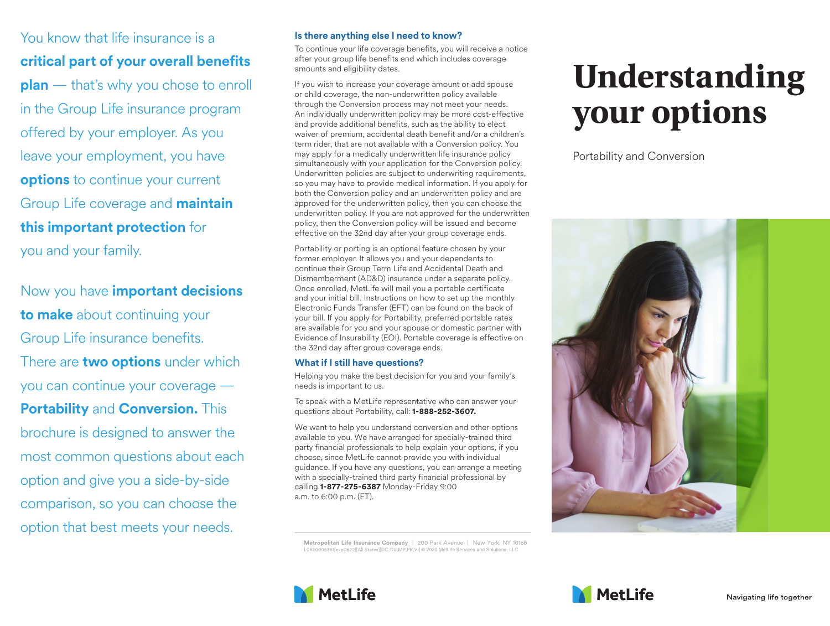You know that life insurance is a **critical part of your overall benefits plan** — that's why you chose to enroll in the Group Life insurance program offered by your employer. As you leave your employment, you have **options** to continue your current Group Life coverage and **maintain this important protection** for you and your family.

Now you have **important decisions to make** about continuing your Group Life insurance benefits. There are **two options** under which you can continue your coverage — **Portability** and **Conversion.** This brochure is designed to answer the most common questions about each option and give you a side-by-side comparison, so you can choose the option that best meets your needs.

## **Is there anything else I need to know?**

To continue your life coverage benefits, you will receive a notice after your group life benefits end which includes coverage amounts and eligibility dates.

If you wish to increase your coverage amount or add spouse or child coverage, the non-underwritten policy available through the Conversion process may not meet your needs. An individually underwritten policy may be more cost-effective and provide additional benefits, such as the ability to elect waiver of premium, accidental death benefit and/or a children's term rider, that are not available with a Conversion policy. You may apply for a medically underwritten life insurance policy simultaneously with your application for the Conversion policy. Underwritten policies are subject to underwriting requirements, so you may have to provide medical information. If you apply for both the Conversion policy and an underwritten policy and are approved for the underwritten policy, then you can choose the underwritten policy. If you are not approved for the underwritten policy, then the Conversion policy will be issued and become effective on the 32nd day after your group coverage ends.

Portability or porting is an optional feature chosen by your former employer. It allows you and your dependents to continue their Group Term Life and Accidental Death and Dismemberment (AD&D) insurance under a separate policy. Once enrolled, MetLife will mail you a portable certificate and your initial bill. Instructions on how to set up the monthly Electronic Funds Transfer (EFT) can be found on the back of your bill. If you apply for Portability, preferred portable rates are available for you and your spouse or domestic partner with Evidence of Insurability (EOI). Portable coverage is effective on the 32nd day after group coverage ends.

## **What if I still have questions?**

Helping you make the best decision for you and your family's needs is important to us.

To speak with a MetLife representative who can answer your questions about Portability, call: **1-888-252-3607.**

We want to help you understand conversion and other options available to you. We have arranged for specially-trained third party financial professionals to help explain your options, if you choose, since MetLife cannot provide you with individual guidance. If you have any questions, you can arrange a meeting with a specially-trained third party financial professional by calling **1-877-275-6387** Monday-Friday 9:00 a.m. to 6:00 p.m. (ET).

**Metropolitan Life Insurance Company** | 200 Park Avenue | New York, NY 10166 L0620005361[exp0622][All States][DC,GU,MP,PR,VI] © 2020 MetLife Services and Solutions, LLC

## **Understanding your options**

Portability and Conversion